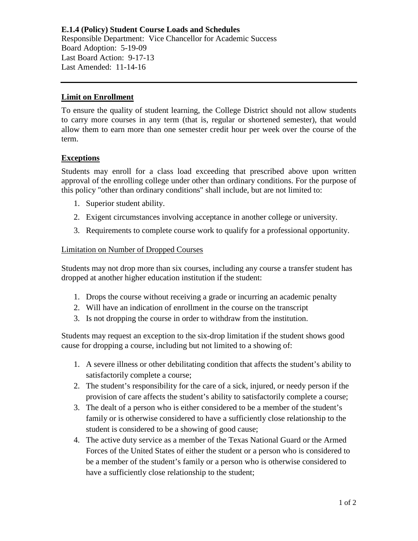**E.1.4 (Policy) Student Course Loads and Schedules** Responsible Department: Vice Chancellor for Academic Success Board Adoption: 5-19-09 Last Board Action: 9-17-13 Last Amended: 11-14-16

## **Limit on Enrollment**

To ensure the quality of student learning, the College District should not allow students to carry more courses in any term (that is, regular or shortened semester), that would allow them to earn more than one semester credit hour per week over the course of the term.

## **Exceptions**

Students may enroll for a class load exceeding that prescribed above upon written approval of the enrolling college under other than ordinary conditions. For the purpose of this policy "other than ordinary conditions" shall include, but are not limited to:

- 1. Superior student ability.
- 2. Exigent circumstances involving acceptance in another college or university.
- 3. Requirements to complete course work to qualify for a professional opportunity.

## Limitation on Number of Dropped Courses

Students may not drop more than six courses, including any course a transfer student has dropped at another higher education institution if the student:

- 1. Drops the course without receiving a grade or incurring an academic penalty
- 2. Will have an indication of enrollment in the course on the transcript
- 3. Is not dropping the course in order to withdraw from the institution.

Students may request an exception to the six-drop limitation if the student shows good cause for dropping a course, including but not limited to a showing of:

- 1. A severe illness or other debilitating condition that affects the student's ability to satisfactorily complete a course;
- 2. The student's responsibility for the care of a sick, injured, or needy person if the provision of care affects the student's ability to satisfactorily complete a course;
- 3. The dealt of a person who is either considered to be a member of the student's family or is otherwise considered to have a sufficiently close relationship to the student is considered to be a showing of good cause;
- 4. The active duty service as a member of the Texas National Guard or the Armed Forces of the United States of either the student or a person who is considered to be a member of the student's family or a person who is otherwise considered to have a sufficiently close relationship to the student;